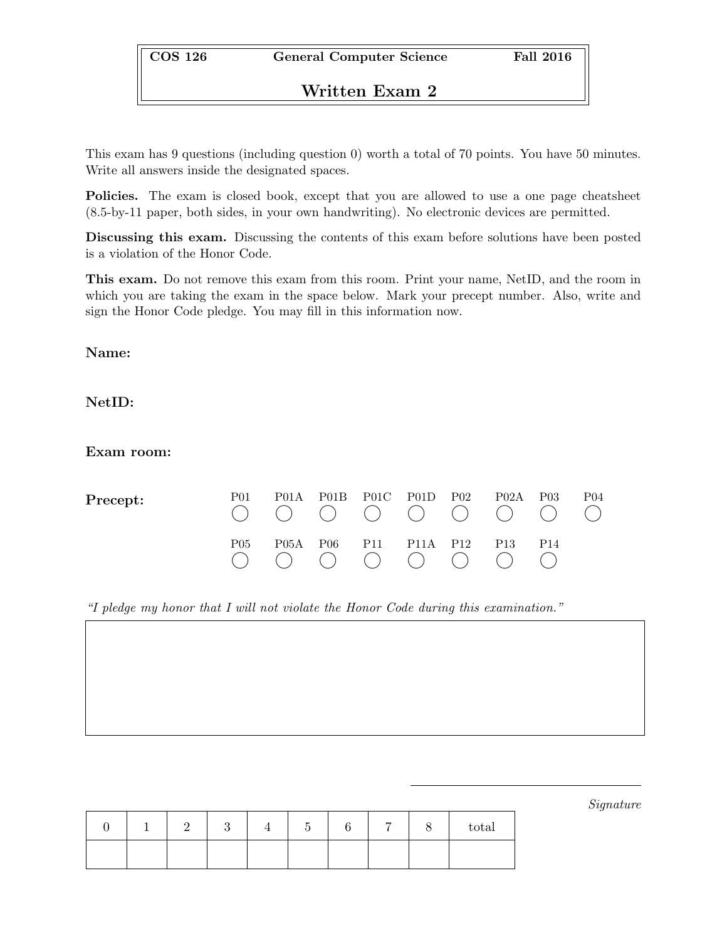# Written Exam 2

This exam has 9 questions (including question 0) worth a total of 70 points. You have 50 minutes. Write all answers inside the designated spaces.

Policies. The exam is closed book, except that you are allowed to use a one page cheatsheet (8.5-by-11 paper, both sides, in your own handwriting). No electronic devices are permitted.

Discussing this exam. Discussing the contents of this exam before solutions have been posted is a violation of the Honor Code.

This exam. Do not remove this exam from this room. Print your name, NetID, and the room in which you are taking the exam in the space below. Mark your precept number. Also, write and sign the Honor Code pledge. You may fill in this information now.

Name:

NetID:

Exam room:

| Precept: | P01 | P <sub>01</sub> A |                                 | P01B P01C P01D P02 | P02A P03        |                 | P <sub>04</sub> |
|----------|-----|-------------------|---------------------------------|--------------------|-----------------|-----------------|-----------------|
|          | P05 | P <sub>05A</sub>  | P <sub>06</sub> P <sub>11</sub> | P11A P12           | P <sub>13</sub> | P <sub>14</sub> |                 |

"I pledge my honor that I will not violate the Honor Code during this examination."

Signature

|  |  |  | − | total |
|--|--|--|---|-------|
|  |  |  |   |       |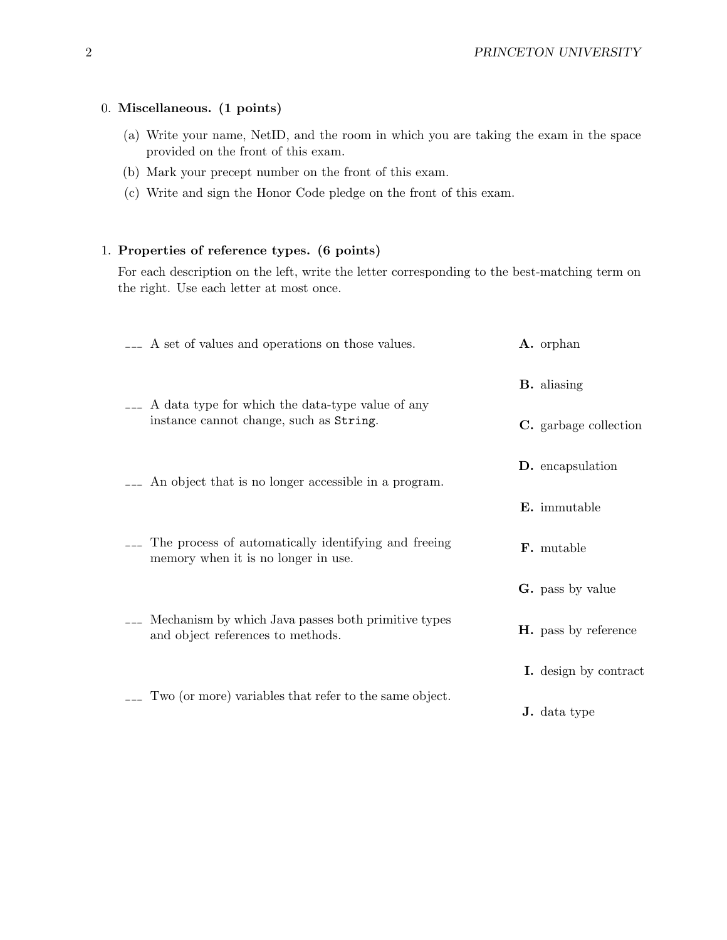### 0. Miscellaneous. (1 points)

- (a) Write your name, NetID, and the room in which you are taking the exam in the space provided on the front of this exam.
- (b) Mark your precept number on the front of this exam.
- (c) Write and sign the Honor Code pledge on the front of this exam.

### 1. Properties of reference types. (6 points)

For each description on the left, write the letter corresponding to the best-matching term on the right. Use each letter at most once.

| <sub>---</sub> A set of values and operations on those values.                                             |  | A. orphan                   |
|------------------------------------------------------------------------------------------------------------|--|-----------------------------|
|                                                                                                            |  | <b>B.</b> aliasing          |
| <sub>---</sub> A data type for which the data-type value of any<br>instance cannot change, such as String. |  | C. garbage collection       |
| <sub>---</sub> An object that is no longer accessible in a program.                                        |  | D. encapsulation            |
|                                                                                                            |  | <b>E.</b> immutable         |
| The process of automatically identifying and freeing<br>memory when it is no longer in use.                |  | <b>F.</b> mutable           |
|                                                                                                            |  | <b>G.</b> pass by value     |
| Mechanism by which Java passes both primitive types<br>and object references to methods.                   |  | <b>H.</b> pass by reference |
|                                                                                                            |  | I. design by contract       |
| Two (or more) variables that refer to the same object.                                                     |  | <b>J.</b> data type         |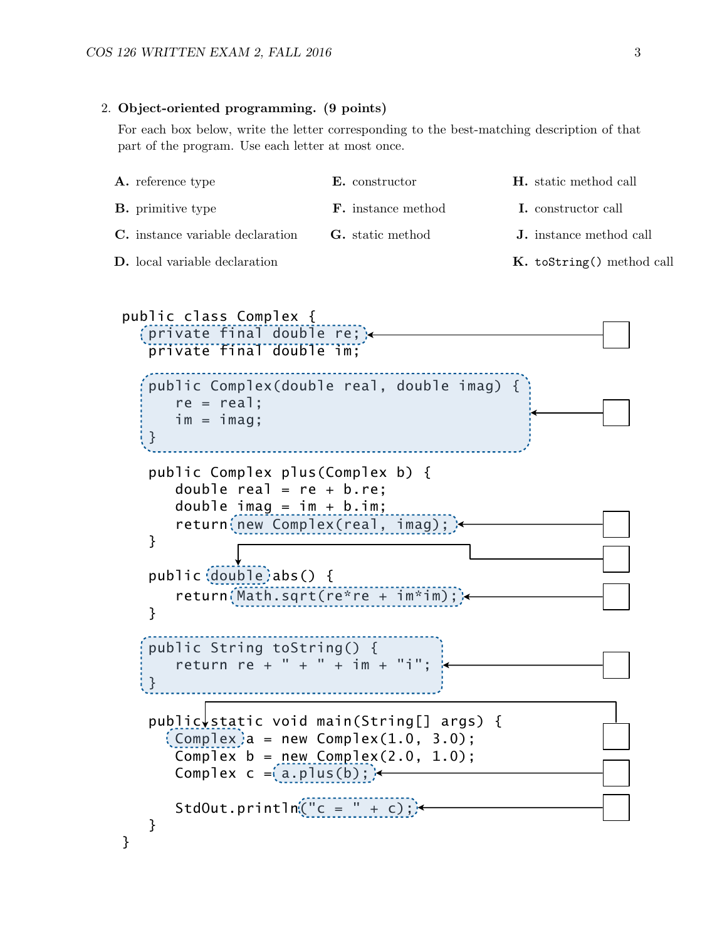#### 2. Object-oriented programming. (9 points)

For each box below, write the letter corresponding to the best-matching description of that part of the program. Use each letter at most once.

| <b>A.</b> reference type                | <b>E.</b> constructor     | <b>H.</b> static method call   |
|-----------------------------------------|---------------------------|--------------------------------|
| <b>B.</b> primitive type                | <b>F.</b> instance method | <b>I.</b> constructor call     |
| <b>C.</b> instance variable declaration | <b>G.</b> static method   | <b>J.</b> instance method call |
| <b>D.</b> local variable declaration    |                           | K. toString() method call      |

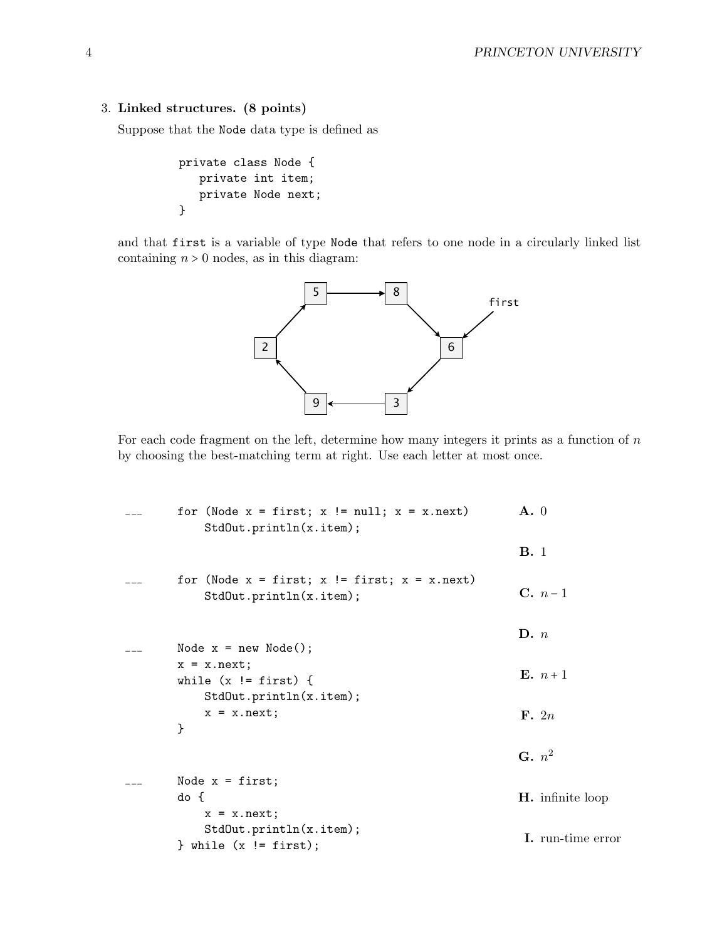### 3. Linked structures. (8 points)

Suppose that the Node data type is defined as

```
private class Node {
   private int item;
   private Node next;
}
```
and that first is a variable of type Node that refers to one node in a circularly linked list containing  $n > 0$  nodes, as in this diagram:



For each code fragment on the left, determine how many integers it prints as a function of  $n$ by choosing the best-matching term at right. Use each letter at most once.

```
for (Node x = first; x := null; x = x.next)
    StdOut.println(x.item);
for (Node x = first; x != first; x = x.next)
    StdOut.println(x.item);
Node x = new Node();
x = x.next;while (x := first) {
    StdOut.println(x.item);
    x = x.next;}
Node x = first;do {
    x = x.next;StdOut.println(x.item);
} while (x != first);
                                                      A. 0
                                                      B. 1
                                                      C. n-1\mathbf{D}. nE. n+1F. 2n
                                                      \mathbf{G.} n^2H. infinite loop
                                                      I. run-time error
```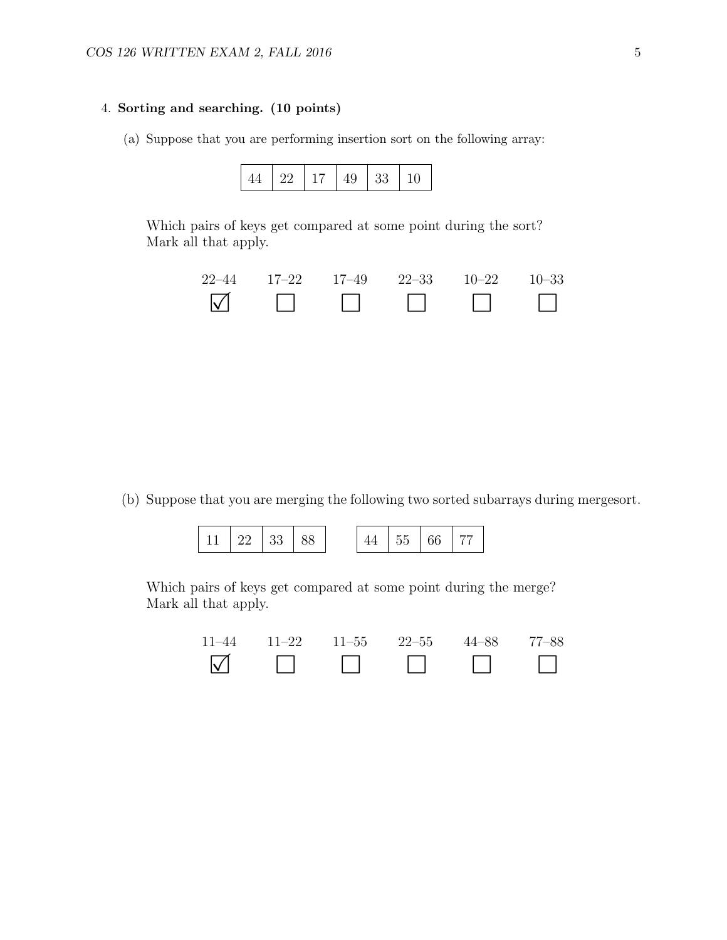### 4. Sorting and searching. (10 points)

(a) Suppose that you are performing insertion sort on the following array:



Which pairs of keys get compared at some point during the sort? Mark all that apply.



(b) Suppose that you are merging the following two sorted subarrays during mergesort.

| 11   22   33   88 |  |  | $44 \mid 55 \mid 66$ |  | l 77 - |
|-------------------|--|--|----------------------|--|--------|
|-------------------|--|--|----------------------|--|--------|

Which pairs of keys get compared at some point during the merge? Mark all that apply.

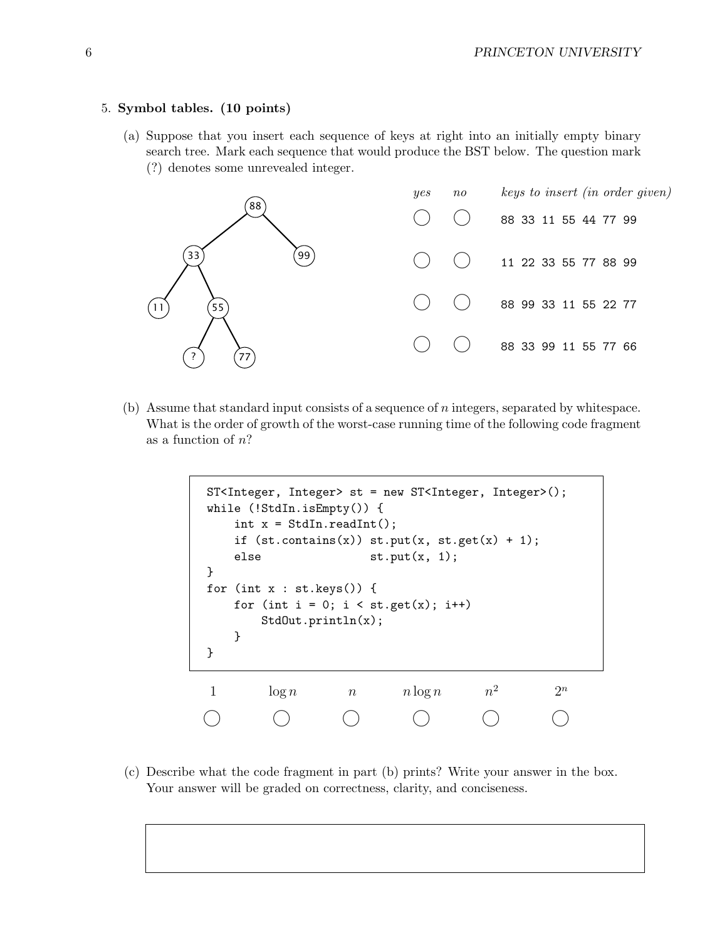#### 5. Symbol tables. (10 points)

(a) Suppose that you insert each sequence of keys at right into an initially empty binary search tree. Mark each sequence that would produce the BST below. The question mark (?) denotes some unrevealed integer.



(b) Assume that standard input consists of a sequence of  $n$  integers, separated by whitespace. What is the order of growth of the worst-case running time of the following code fragment as a function of  $n$ ?

```
ST<Integer, Integer> st = new ST<Integer, Integer>();
while (!StdIn.isEmpty()) {
   int x = \text{StdIn}.\text{readInt}();
   if (st.\text{contains}(x)) st.put(x, st.get(x) + 1);else st.put(x, 1);
}
for (int x : st.keys()) {
   for (int i = 0; i < st.get(x); i++)StdOut.println(x);
   }
}
1 \log n n \log n n^22^nU U U U U U
```
(c) Describe what the code fragment in part (b) prints? Write your answer in the box. Your answer will be graded on correctness, clarity, and conciseness.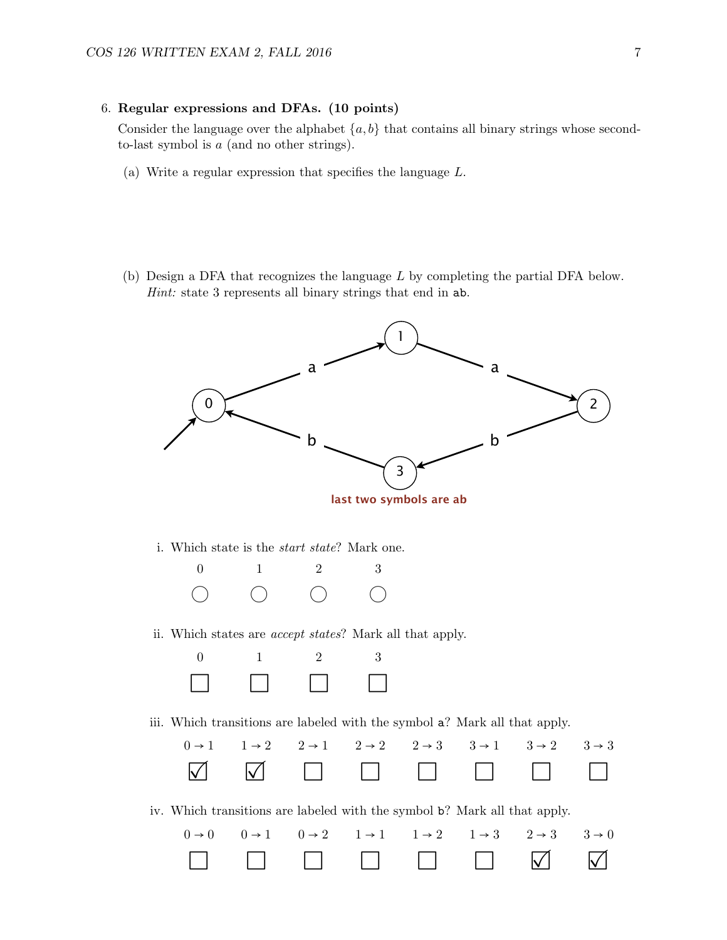#### 6. Regular expressions and DFAs. (10 points)

Consider the language over the alphabet  $\{a, b\}$  that contains all binary strings whose secondto-last symbol is a (and no other strings).

- (a) Write a regular expression that specifies the language L.
- (b) Design a DFA that recognizes the language  $L$  by completing the partial DFA below. Hint: state 3 represents all binary strings that end in ab.



**last two symbols are ab**

*i*. Which state is the *start state*? Mark one.



ii. Which states are accept states? Mark all that apply.



iii. Which transitions are labeled with the symbol a? Mark all that apply.



iv. Which transitions are labeled with the symbol b? Mark all that apply.

|  |  | $0\rightarrow 0 \qquad 0\rightarrow 1 \qquad 0\rightarrow 2 \qquad 1\rightarrow 1 \qquad 1\rightarrow 2 \qquad 1\rightarrow 3 \qquad 2\rightarrow 3 \qquad 3\rightarrow 0$ |  |  |
|--|--|----------------------------------------------------------------------------------------------------------------------------------------------------------------------------|--|--|
|  |  |                                                                                                                                                                            |  |  |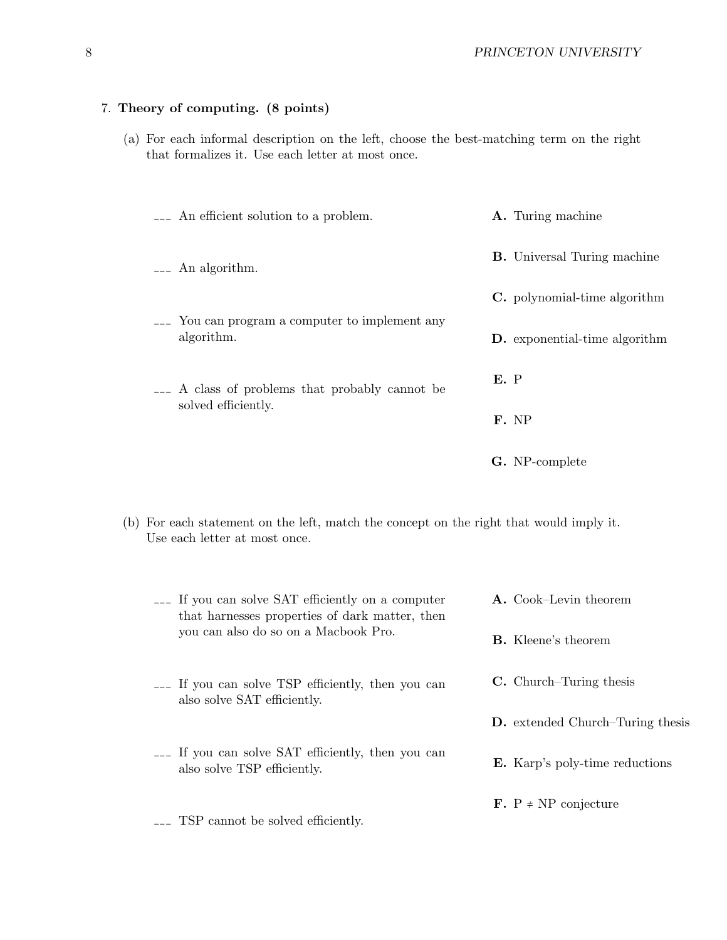## 7. Theory of computing. (8 points)

(a) For each informal description on the left, choose the best-matching term on the right that formalizes it. Use each letter at most once.

| --- An efficient solution to a problem.                       | <b>A.</b> Turing machine             |
|---------------------------------------------------------------|--------------------------------------|
| An algorithm.                                                 | <b>B.</b> Universal Turing machine   |
|                                                               | <b>C.</b> polynomial-time algorithm  |
| --- You can program a computer to implement any<br>algorithm. | <b>D.</b> exponential-time algorithm |
| --- A class of problems that probably cannot be               | E. P                                 |
| solved efficiently.                                           | F. NP                                |
|                                                               | G. NP-complete                       |

(b) For each statement on the left, match the concept on the right that would imply it. Use each letter at most once.

| --- If you can solve SAT efficiently on a computer<br>that harnesses properties of dark matter, then | A. Cook-Levin theorem                   |  |  |
|------------------------------------------------------------------------------------------------------|-----------------------------------------|--|--|
| you can also do so on a Macbook Pro.                                                                 | <b>B.</b> Kleene's theorem              |  |  |
| <sub>---</sub> If you can solve TSP efficiently, then you can<br>also solve SAT efficiently.         | <b>C.</b> Church–Turing thesis          |  |  |
|                                                                                                      | <b>D.</b> extended Church-Turing thesis |  |  |
| <sub>---</sub> If you can solve SAT efficiently, then you can<br>also solve TSP efficiently.         | <b>E.</b> Karp's poly-time reductions   |  |  |
| TSP cannot be solved efficiently.                                                                    | <b>F.</b> $P \neq NP$ conjecture        |  |  |